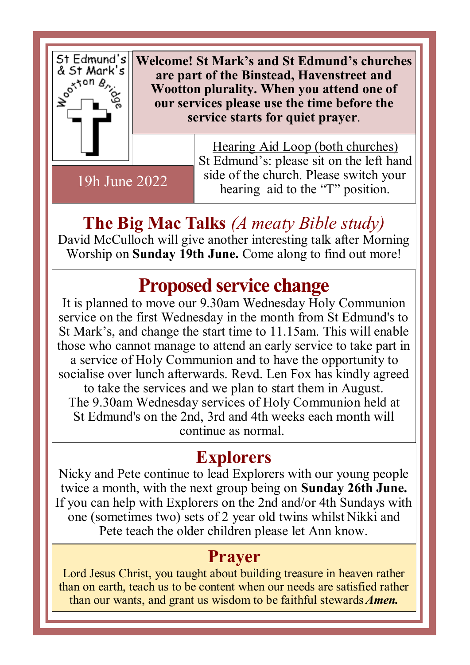

19h June 2022

**Welcome! St Mark's and St Edmund's churches are part of the Binstead, Havenstreet and Wootton plurality. When you attend one of our services please use the time before the service starts for quiet prayer**.

> Hearing Aid Loop (both churches) St Edmund's: please sit on the left hand side of the church. Please switch your hearing aid to the "T" position.

**The Big Mac Talks** *(A meaty Bible study)* David McCulloch will give another interesting talk after Morning Worship on **Sunday 19th June.** Come along to find out more!

## **Proposed service change**

It is planned to move our 9.30am Wednesday Holy Communion service on the first Wednesday in the month from St Edmund's to St Mark's, and change the start time to 11.15am. This will enable those who cannot manage to attend an early service to take part in a service of Holy Communion and to have the opportunity to socialise over lunch afterwards. Revd. Len Fox has kindly agreed to take the services and we plan to start them in August. The 9.30am Wednesday services of Holy Communion held at St Edmund's on the 2nd, 3rd and 4th weeks each month will continue as normal.

#### **Explorers**

Nicky and Pete continue to lead Explorers with our young people twice a month, with the next group being on **Sunday 26th June.**  If you can help with Explorers on the 2nd and/or 4th Sundays with one (sometimes two) sets of 2 year old twins whilst Nikki and Pete teach the older children please let Ann know.

#### **Prayer**

Lord Jesus Christ, you taught about building treasure in heaven rather than on earth, teach us to be content when our needs are satisfied rather than our wants, and grant us wisdom to be faithful stewards *Amen.*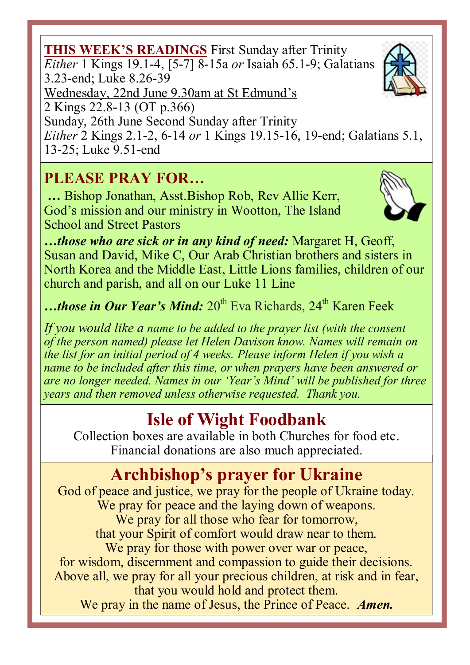**THIS WEEK'S READINGS** First Sunday after Trinity *Either* 1 Kings 19.1-4, [5-7] 8-15a *or* Isaiah 65.1-9; Galatians Sunday, 26th June Second Sunday after Trinity *Either* 2 Kings 2.1-2, 6-14 *or* 1 Kings 19.15-16, 19-end; Galatians 5.1,

13-25; Luke 9.51-end

### **PLEASE PRAY FOR…**

**…** Bishop Jonathan, Asst.Bishop Rob, Rev Allie Kerr, God's mission and our ministry in Wootton, The Island School and Street Pastors

*…those who are sick or in any kind of need:* Margaret H, Geoff, Susan and David, Mike C, Our Arab Christian brothers and sisters in North Korea and the Middle East, Little Lions families, children of our church and parish, and all on our Luke 11 Line

…*those in Our Year's Mind*: 20<sup>th</sup> Eva Richards, 24<sup>th</sup> Karen Feek

*If you would like a name to be added to the prayer list (with the consent of the person named) please let Helen Davison know. Names will remain on the list for an initial period of 4 weeks. Please inform Helen if you wish a name to be included after this time, or when prayers have been answered or are no longer needed. Names in our 'Year's Mind' will be published for three years and then removed unless otherwise requested. Thank you.*

# **Isle of Wight Foodbank**

Collection boxes are available in both Churches for food etc. Financial donations are also much appreciated.

# **Archbishop's prayer for Ukraine**

God of peace and justice, we pray for the people of Ukraine today. We pray for peace and the laying down of weapons. We pray for all those who fear for tomorrow, that your Spirit of comfort would draw near to them. We pray for those with power over war or peace, for wisdom, discernment and compassion to guide their decisions. Above all, we pray for all your precious children, at risk and in fear, that you would hold and protect them. We pray in the name of Jesus, the Prince of Peace. *Amen.*





3.23-end; Luke 8.26-39

Wednesday, 22nd June 9.30am at St Edmund's

2 Kings 22.8-13 (OT p.366)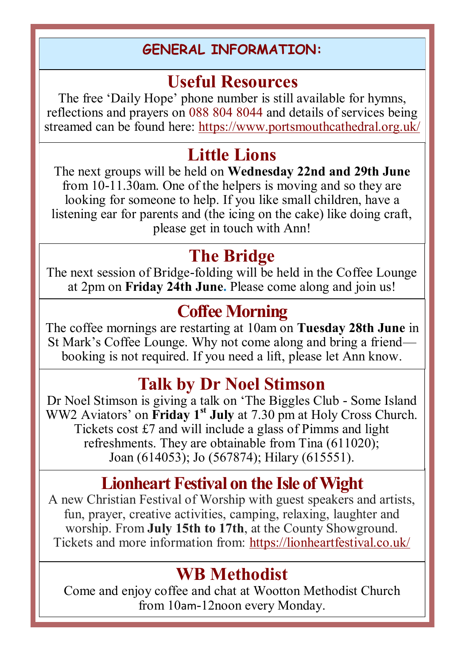#### **GENERAL INFORMATION:**

#### **Useful Resources**

The free 'Daily Hope' phone number is still available for hymns, reflections and prayers on 088 804 8044 and details of services being streamed can be found here: https://www.portsmouthcathedral.org.uk/

## **Little Lions**

The next groups will be held on **Wednesday 22nd and 29th June**  from 10-11.30am. One of the helpers is moving and so they are looking for someone to help. If you like small children, have a listening ear for parents and (the icing on the cake) like doing craft, please get in touch with Ann!

#### **The Bridge**

The next session of Bridge-folding will be held in the Coffee Lounge at 2pm on **Friday 24th June.** Please come along and join us!

### **Coffee Morning**

The coffee mornings are restarting at 10am on **Tuesday 28th June** in St Mark's Coffee Lounge. Why not come along and bring a friend booking is not required. If you need a lift, please let Ann know.

### **Talk by Dr Noel Stimson**

Dr Noel Stimson is giving a talk on 'The Biggles Club - Some Island WW2 Aviators' on **Friday 1st July** at 7.30 pm at Holy Cross Church. Tickets cost £7 and will include a glass of Pimms and light refreshments. They are obtainable from Tina (611020); Joan (614053); Jo (567874); Hilary (615551).

### **Lionheart Festival on the Isle of Wight**

A new Christian Festival of Worship with guest speakers and artists, fun, prayer, creative activities, camping, relaxing, laughter and worship. From **July 15th to 17th**, at the County Showground. Tickets and more information from: https://lionheartfestival.co.uk/

### **WB Methodist**

Come and enjoy coffee and chat at Wootton Methodist Church from 10am-12noon every Monday.